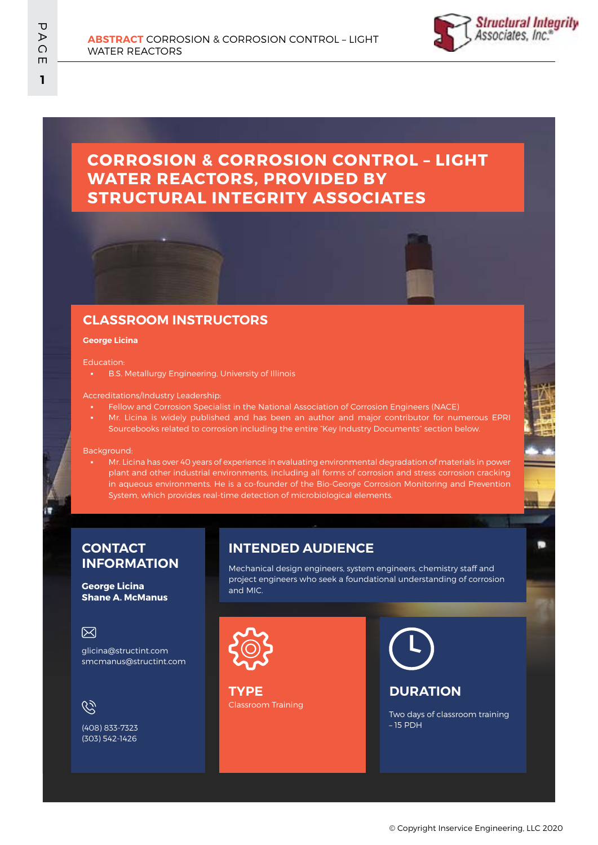

# **CORROSION & CORROSION CONTROL – LIGHT WATER REACTORS, PROVIDED BY STRUCTURAL INTEGRITY ASSOCIATES**

# **CLASSROOM INSTRUCTORS**

#### **George Licina**

#### Education:

**• B.S. Metallurgy Engineering, University of Illinois** 

#### Accreditations/Industry Leadership:

- Fellow and Corrosion Specialist in the National Association of Corrosion Engineers (NACE)
- Mr. Licina is widely published and has been an author and major contributor for numerous EPRI Sourcebooks related to corrosion including the entire "Key Industry Documents" section below.

Background:

Mr. Licina has over 40 years of experience in evaluating environmental degradation of materials in power plant and other industrial environments, including all forms of corrosion and stress corrosion cracking in aqueous environments. He is a co-founder of the Bio-George Corrosion Monitoring and Prevention System, which provides real-time detection of microbiological elements.

### **CONTACT INFORMATION**

### **George Licina Shane A. McManus**

### 冈

glicina@structint.com smcmanus@structint.com

# $\mathscr{C}$

(408) 833-7323 (303) 542-1426

## **INTENDED AUDIENCE**

Mechanical design engineers, system engineers, chemistry staff and project engineers who seek a foundational understanding of corrosion and MIC.



Classroom Training **TYPE**



## **DURATION**

Two days of classroom training – 15 PDH